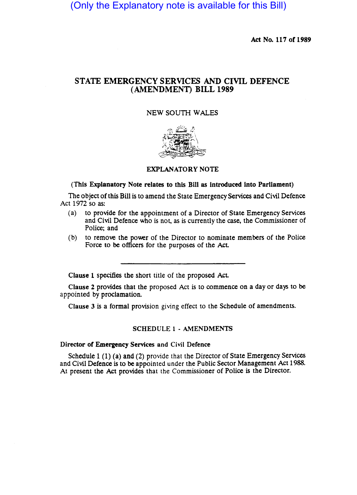(Only the Explanatory note is available for this Bill)

Act No. 117 of 1989

## STATE EMERGENCY SERVICES AND CIVIL DEFENCE (AMENDMENT) BILL 1989

## NEW SOUTH WALES



## EXPLANATORY NOTE

#### (This Explanatory Note relates to this Bill as Introduced Into Parliament)

The Object of this Bill is to amend the State Emergency Services and Civil Defence Act 1972 so as:

- (a) to provide for the appointment of a Director of State Emergency Services and Civil Defence who is not, as is currently the case, the Commissioner of Police; and
- (b) to remove the power of the Director to nominate members of the Police Force to be officers for the purposes of the Act.

Clause 1 specifies the short title of the proposed Act.

Clause 2 provides that the proposed Act is to commence on a day or days to be appointed by proclamation.

Clause 3 is a formal provision giving effect to the Schedule of amendments.

#### SCHEDULE 1· AMENDMENTS

## Director of Emergency Services and Civil Defence

Schedule 1 (1) (a) and (2) provide that the Director of State Emergency Services and Civil Defence is to be appointed under the Public Sector Management Act 1988. At present the Act provides that the Commissioner of Police is the Director.